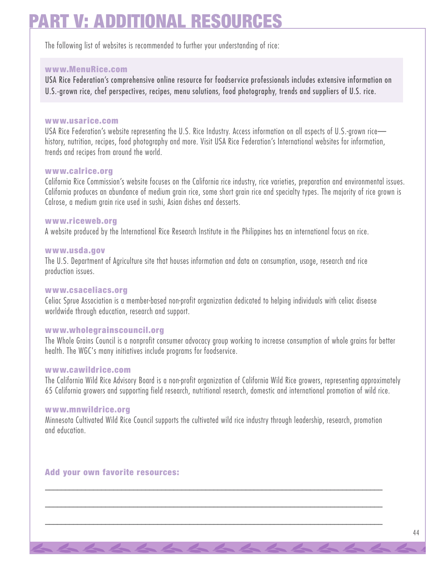# **RT V: ADDITIONAL RESOURCE**

The following list of websites is recommended to further your understanding of rice:

## **www.MenuRice.com**

USA Rice Federation's comprehensive online resource for foodservice professionals includes extensive information on U.S.-grown rice, chef perspectives, recipes, menu solutions, food photography, trends and suppliers of U.S. rice.

#### **www.usarice.com**

USA Rice Federation's website representing the U.S. Rice Industry. Access information on all aspects of U.S.-grown rice history, nutrition, recipes, food photography and more. Visit USA Rice Federation's International websites for information, trends and recipes from around the world.

#### **www.calrice.org**

California Rice Commission's website focuses on the California rice industry, rice varieties, preparation and environmental issues. California produces an abundance of medium grain rice, some short grain rice and specialty types. The majority of rice grown is Calrose, a medium grain rice used in sushi, Asian dishes and desserts.

### **www.riceweb.org**

A website produced by the International Rice Research Institute in the Philippines has an international focus on rice.

#### **www.usda.gov**

The U.S. Department of Agriculture site that houses information and data on consumption, usage, research and rice production issues.

### **www.csaceliacs.org**

Celiac Sprue Association is a member-based non-profit organization dedicated to helping individuals with celiac disease worldwide through education, research and support.

## **www.wholegrainscouncil.org**

The Whole Grains Council is a nonprofit consumer advocacy group working to increase consumption of whole grains for better health. The WGC's many initiatives include programs for foodservice.

#### **www.cawildrice.com**

The California Wild Rice Advisory Board is a non-profit organization of California Wild Rice growers, representing approximately 65 California growers and supporting field research, nutritional research, domestic and international promotion of wild rice.

### **www.mnwildrice.org**

Minnesota Cultivated Wild Rice Council supports the cultivated wild rice industry through leadership, research, promotion and education.

\_\_\_\_\_\_\_\_\_\_\_\_\_\_\_\_\_\_\_\_\_\_\_\_\_\_\_\_\_\_\_\_\_\_\_\_\_\_\_\_\_\_\_\_\_\_\_\_\_\_\_\_\_\_\_\_\_\_\_\_\_\_\_\_\_\_\_\_\_\_\_\_\_\_\_\_\_\_\_\_\_\_\_\_

\_\_\_\_\_\_\_\_\_\_\_\_\_\_\_\_\_\_\_\_\_\_\_\_\_\_\_\_\_\_\_\_\_\_\_\_\_\_\_\_\_\_\_\_\_\_\_\_\_\_\_\_\_\_\_\_\_\_\_\_\_\_\_\_\_\_\_\_\_\_\_\_\_\_\_\_\_\_\_\_\_\_\_\_

\_\_\_\_\_\_\_\_\_\_\_\_\_\_\_\_\_\_\_\_\_\_\_\_\_\_\_\_\_\_\_\_\_\_\_\_\_\_\_\_\_\_\_\_\_\_\_\_\_\_\_\_\_\_\_\_\_\_\_\_\_\_\_\_\_\_\_\_\_\_\_\_\_\_\_\_\_\_\_\_\_\_\_\_

### **Add your own favorite resources:**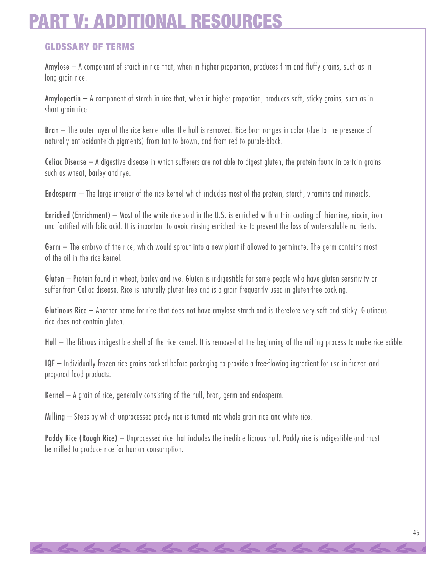# *ANAL RESOU*

# **GLOSSARY OF TERMS**

Amylose – A component of starch in rice that, when in higher proportion, produces firm and fluffy grains, such as in long grain rice.

Amylopectin – A component of starch in rice that, when in higher proportion, produces soft, sticky grains, such as in short grain rice.

Bran – The outer layer of the rice kernel after the hull is removed. Rice bran ranges in color (due to the presence of naturally antioxidant-rich pigments) from tan to brown, and from red to purple-black.

Celiac Disease – A digestive disease in which sufferers are not able to digest gluten, the protein found in certain grains such as wheat, barley and rye.

Endosperm – The large interior of the rice kernel which includes most of the protein, starch, vitamins and minerals.

Enriched (Enrichment) – Most of the white rice sold in the U.S. is enriched with a thin coating of thiamine, niacin, iron and fortified with folic acid. It is important to avoid rinsing enriched rice to prevent the loss of water-soluble nutrients.

Germ – The embryo of the rice, which would sprout into a new plant if allowed to germinate. The germ contains most of the oil in the rice kernel.

Gluten – Protein found in wheat, barley and rye. Gluten is indigestible for some people who have gluten sensitivity or suffer from Celiac disease. Rice is naturally gluten-free and is a grain frequently used in gluten-free cooking.

Glutinous Rice – Another name for rice that does not have amylose starch and is therefore very soft and sticky. Glutinous rice does not contain gluten.

Hull – The fibrous indigestible shell of the rice kernel. It is removed at the beginning of the milling process to make rice edible.

IQF – Individually frozen rice grains cooked before packaging to provide a free-flowing ingredient for use in frozen and prepared food products.

Kernel – A grain of rice, generally consisting of the hull, bran, germ and endosperm.

Milling – Steps by which unprocessed paddy rice is turned into whole grain rice and white rice.

Paddy Rice (Rough Rice) – Unprocessed rice that includes the inedible fibrous hull. Paddy rice is indigestible and must be milled to produce rice for human consumption.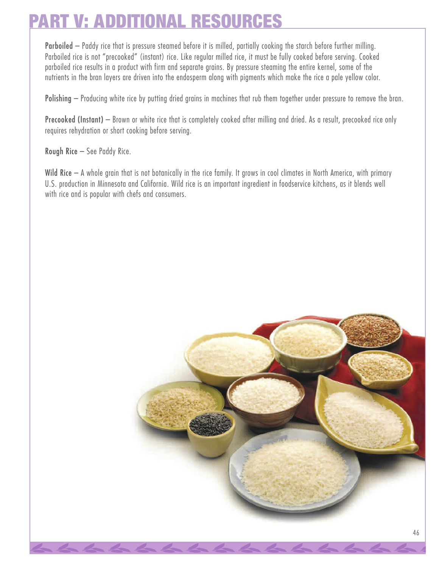# **PART V: ADDITIONAL RESOURCES**

Parboiled – Paddy rice that is pressure steamed before it is milled, partially cooking the starch before further milling. Parboiled rice is not "precooked" (instant) rice. Like regular milled rice, it must be fully cooked before serving. Cooked parboiled rice results in a product with firm and separate grains. By pressure steaming the entire kernel, some of the nutrients in the bran layers are driven into the endosperm along with pigments which make the rice a pale yellow color.

Polishing – Producing white rice by putting dried grains in machines that rub them together under pressure to remove the bran.

Precooked (Instant) – Brown or white rice that is completely cooked after milling and dried. As a result, precooked rice only requires rehydration or short cooking before serving.

Rough Rice – See Paddy Rice.

Wild Rice – A whole grain that is not botanically in the rice family. It grows in cool climates in North America, with primary U.S. production in Minnesota and California. Wild rice is an important ingredient in foodservice kitchens, as it blends well with rice and is popular with chefs and consumers.

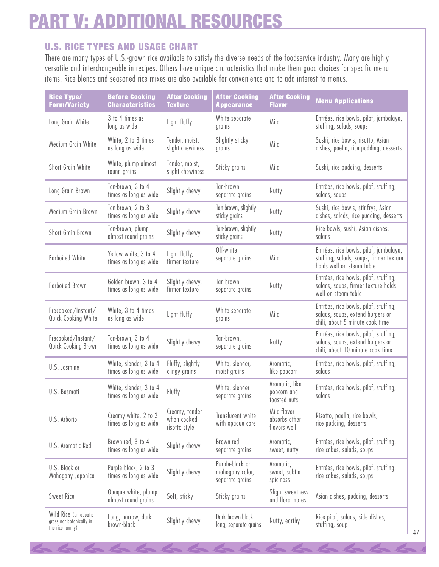# **PART V: ADDITIONAL RESOURCES**

# **U.S. RICE T YPES AND USAGE CHART**

There are many types of U.S.-grown rice available to satisfy the diverse needs of the foodservice industry. Many are highly versatile and interchangeable in recipes. Others have unique characteristics that make them good choices for specific menu items. Rice blends and seasoned rice mixes are also available for convenience and to add interest to menus.

| <b>Rice Type/</b><br><b>Form/Variety</b>                              | <b>Before Cooking</b><br><b>Characteristics</b> | <b>After Cooking</b><br><b>Texture</b>         | <b>After Cooking</b><br><b>Appearance</b>             | <b>After Cooking</b><br><b>Flavor</b>         | <b>Menu Applications</b>                                                                                       |
|-----------------------------------------------------------------------|-------------------------------------------------|------------------------------------------------|-------------------------------------------------------|-----------------------------------------------|----------------------------------------------------------------------------------------------------------------|
| Long Grain White                                                      | 3 to 4 times as<br>long as wide                 | Light fluffy                                   | White separate<br>grains                              | Mild                                          | Entrées, rice bowls, pilaf, jambalaya,<br>stuffing, salads, soups                                              |
| Medium Grain White                                                    | White, 2 to 3 times<br>as long as wide          | Tender, moist,<br>slight chewiness             | Slightly sticky<br>grains                             | Mild                                          | Sushi, rice bowls, risotto, Asian<br>dishes, paella, rice pudding, desserts                                    |
| Short Grain White                                                     | White, plump almost<br>round grains             | Tender, moist,<br>slight chewiness             | Sticky grains                                         | Mild                                          | Sushi, rice pudding, desserts                                                                                  |
| Long Grain Brown                                                      | Tan-brown, 3 to 4<br>times as long as wide      | Slightly chewy                                 | Tan-brown<br>separate grains                          | Nutty                                         | Entrées, rice bowls, pilaf, stuffing,<br>salads, soups                                                         |
| Medium Grain Brown                                                    | Tan-brown, 2 to 3<br>times as long as wide      | Slightly chewy                                 | Tan-brown, slightly<br>sticky grains                  | Nutty                                         | Sushi, rice bowls, stir-frys, Asian<br>dishes, salads, rice pudding, desserts                                  |
| Short Grain Brown                                                     | Tan-brown, plump<br>almost round grains         | Slightly chewy                                 | Tan-brown, slightly<br>sticky grains                  | Nutty                                         | Rice bowls, sushi, Asian dishes,<br>salads                                                                     |
| Parboiled White                                                       | Yellow white, 3 to 4<br>times as long as wide   | Light fluffy,<br>firmer texture                | Off-white<br>separate grains                          | Mild                                          | Entrées, rice bowls, pilaf, jambalaya,<br>stuffing, salads, soups, firmer texture<br>holds well on steam table |
| Parboiled Brown                                                       | Golden-brown, 3 to 4<br>times as long as wide   | Slightly chewy,<br>firmer texture              | Tan-brown<br>separate grains                          | Nutty                                         | Entrées, rice bowls, pilaf, stuffing,<br>salads, soups, firmer texture holds<br>well on steam table            |
| Precooked/Instant/<br>Quick Cooking White                             | White, 3 to 4 times<br>as long as wide          | Light fluffy                                   | White separate<br>grains                              | Mild                                          | Entrées, rice bowls, pilaf, stuffing,<br>salads, soups, extend burgers or<br>chili, about 5 minute cook time   |
| Precooked/Instant/<br>Quick Cooking Brown                             | Tan-brown, 3 to 4<br>times as long as wide      | Slightly chewy                                 | Tan-brown,<br>separate grains                         | Nutty                                         | Entrées, rice bowls, pilaf, stuffing,<br>salads, soups, extend burgers or<br>chili, about 10 minute cook time  |
| U.S. Jasmine                                                          | White, slender, 3 to 4<br>times as long as wide | Fluffy, slightly<br>clingy grains              | White, slender,<br>moist grains                       | Aromatic,<br>like popcorn                     | Entrées, rice bowls, pilaf, stuffing,<br>salads                                                                |
| U.S. Basmati                                                          | White, slender, 3 to 4<br>times as long as wide | Fluffy                                         | White, slender<br>separate grains                     | Aromatic, like<br>popcorn and<br>toasted nuts | Entrées, rice bowls, pilaf, stuffing,<br>salads                                                                |
| U.S. Arborio                                                          | Creamy white, 2 to 3<br>times as long as wide   | Creamy, tender<br>when cooked<br>risotto style | Translucent white<br>with opaque core                 | Mild flavor<br>absorbs other<br>flavors well  | Risotto, paella, rice bowls,<br>rice pudding, desserts                                                         |
| U.S. Aromatic Red                                                     | Brown-red, 3 to 4<br>times as long as wide      | Slightly chewy                                 | Brown-red<br>separate grains                          | Aromatic,<br>sweet, nutty                     | Entrées, rice bowls, pilaf, stuffing,<br>rice cakes, salads, soups                                             |
| U.S. Black or<br>Mahogany Japonica                                    | Purple black, 2 to 3<br>times as long as wide   | Slightly chewy                                 | Purple-black or<br>mahogany color,<br>separate grains | Aromatic,<br>sweet, subtle<br>spiciness       | Entrées, rice bowls, pilaf, stuffing,<br>rice cakes, salads, soups                                             |
| Sweet Rice                                                            | Opaque white, plump<br>almost round grains      | Soft, sticky                                   | Sticky grains                                         | Slight sweetness<br>and floral notes          | Asian dishes, pudding, desserts                                                                                |
| Wild Rice (an aquatic<br>grass not botanically in<br>the rice family) | Long, narrow, dark<br>brown-black               | Slightly chewy                                 | Dark brown-black<br>long, separate grains             | Nutty, earthy                                 | Rice pilaf, salads, side dishes,<br>stuffing, soup                                                             |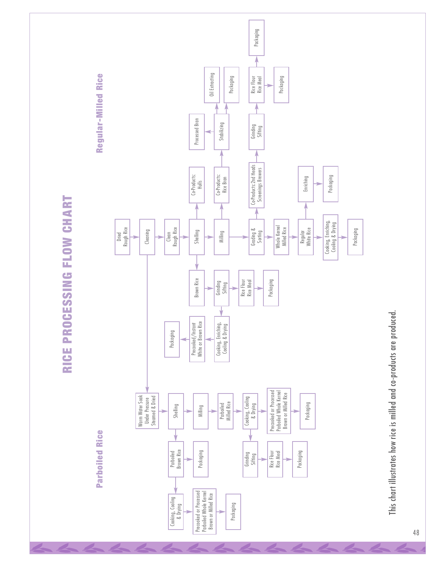